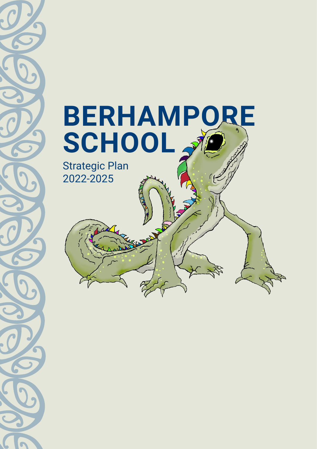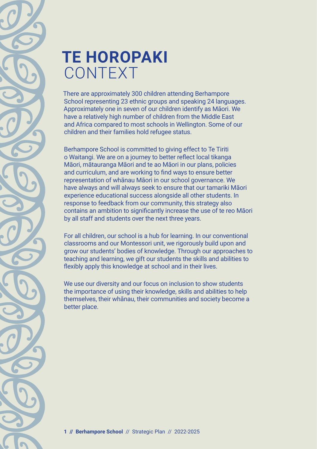

## **TE HOROPAKI** CONTEXT

There are approximately 300 children attending Berhampore School representing 23 ethnic groups and speaking 24 languages. Approximately one in seven of our children identify as Māori. We have a relatively high number of children from the Middle East and Africa compared to most schools in Wellington. Some of our children and their families hold refugee status.

Berhampore School is committed to giving effect to Te Tiriti o Waitangi. We are on a journey to better reflect local tikanga Māori, mātauranga Māori and te ao Māori in our plans, policies and curriculum, and are working to find ways to ensure better representation of whānau Māori in our school governance. We have always and will always seek to ensure that our tamariki Māori experience educational success alongside all other students. In response to feedback from our community, this strategy also contains an ambition to significantly increase the use of te reo Māori by all staff and students over the next three years.

For all children, our school is a hub for learning. In our conventional classrooms and our Montessori unit, we rigorously build upon and grow our students' bodies of knowledge. Through our approaches to teaching and learning, we gift our students the skills and abilities to flexibly apply this knowledge at school and in their lives.

We use our diversity and our focus on inclusion to show students the importance of using their knowledge, skills and abilities to help themselves, their whānau, their communities and society become a better place.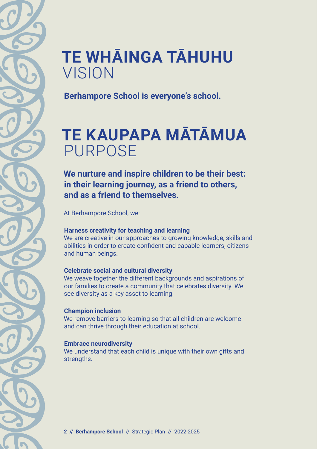# **TE WHĀINGA TĀHUHU**  VISION

**Berhampore School is everyone's school.**

# **TE KAUPAPA MĀTĀMUA**  PURPOSE

**We nurture and inspire children to be their best: in their learning journey, as a friend to others, and as a friend to themselves.**

At Berhampore School, we:

#### **Harness creativity for teaching and learning**

We are creative in our approaches to growing knowledge, skills and abilities in order to create confident and capable learners, citizens and human beings.

#### **Celebrate social and cultural diversity**

We weave together the different backgrounds and aspirations of our families to create a community that celebrates diversity. We see diversity as a key asset to learning.

#### **Champion inclusion**

We remove barriers to learning so that all children are welcome and can thrive through their education at school.

#### **Embrace neurodiversity**

We understand that each child is unique with their own gifts and strengths.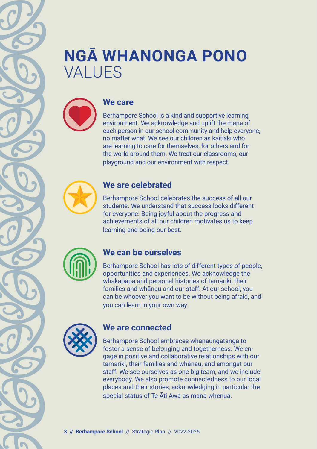# **NGĀ WHANONGA PONO**  VALUES



### **We care**

Berhampore School is a kind and supportive learning environment. We acknowledge and uplift the mana of each person in our school community and help everyone, no matter what. We see our children as kaitiaki who are learning to care for themselves, for others and for the world around them. We treat our classrooms, our playground and our environment with respect.



### **We are celebrated**

Berhampore School celebrates the success of all our students. We understand that success looks different for everyone. Being joyful about the progress and achievements of all our children motivates us to keep learning and being our best.



### **We can be ourselves**

Berhampore School has lots of different types of people, opportunities and experiences. We acknowledge the whakapapa and personal histories of tamariki, their families and whānau and our staff. At our school, you can be whoever you want to be without being afraid, and you can learn in your own way.



### **We are connected**

Berhampore School embraces whanaungatanga to foster a sense of belonging and togetherness. We engage in positive and collaborative relationships with our tamariki, their families and whānau, and amongst our staff. We see ourselves as one big team, and we include everybody. We also promote connectedness to our local places and their stories, acknowledging in particular the special status of Te Āti Awa as mana whenua.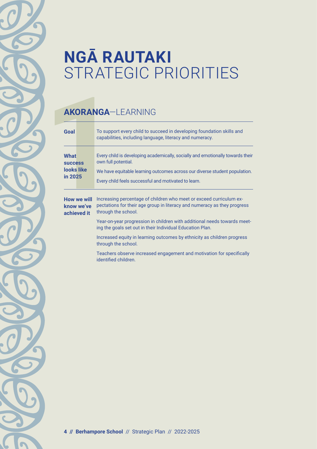# **NGĀ RAUTAKI**  STRATEGIC PRIORITIES

## **AKORANGA**—LEARNING

| <b>AKORANGA-LEARNING</b>                                      |                                                                                                                                                                                                                                             |  |
|---------------------------------------------------------------|---------------------------------------------------------------------------------------------------------------------------------------------------------------------------------------------------------------------------------------------|--|
| Goal                                                          | To support every child to succeed in developing foundation skills and<br>capabilities, including language, literacy and numeracy.                                                                                                           |  |
| <b>What</b><br><b>SUCCESS</b><br><b>Jooks like</b><br>in 2025 | Every child is developing academically, socially and emotionally towards their<br>own full potential.<br>We have equitable learning outcomes across our diverse student population.<br>Every child feels successful and motivated to learn. |  |
| How we will<br>know we've<br>achieved it                      | Increasing percentage of children who meet or exceed curriculum ex-<br>pectations for their age group in literacy and numeracy as they progress<br>through the school.                                                                      |  |
|                                                               | Year-on-year progression in children with additional needs towards meet-<br>ing the goals set out in their Individual Education Plan.                                                                                                       |  |
|                                                               | Increased equity in learning outcomes by ethnicity as children progress<br>through the school.                                                                                                                                              |  |
|                                                               | Teachers observe increased engagement and motivation for specifically<br>identified children.                                                                                                                                               |  |
|                                                               |                                                                                                                                                                                                                                             |  |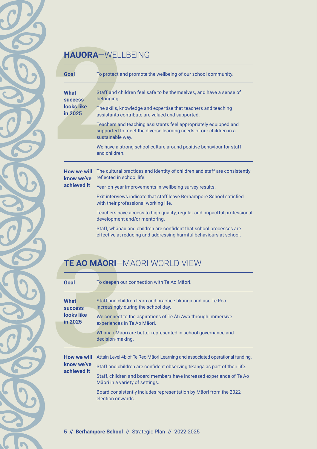### **HAUORA**—WELLBEING

| Goal                                                   | To protect and promote the wellbeing of our school community.                                                                                             |
|--------------------------------------------------------|-----------------------------------------------------------------------------------------------------------------------------------------------------------|
| <b>What</b><br><b>SUCCESS</b><br>looks like<br>in 2025 | Staff and children feel safe to be themselves, and have a sense of<br>belonging.                                                                          |
|                                                        | The skills, knowledge and expertise that teachers and teaching<br>assistants contribute are valued and supported.                                         |
|                                                        | Teachers and teaching assistants feel appropriately equipped and<br>supported to meet the diverse learning needs of our children in a<br>sustainable way. |
|                                                        | We have a strong school culture around positive behaviour for staff<br>and children.                                                                      |
| How we will<br>know we've<br>achieved it               | The cultural practices and identity of children and staff are consistently<br>reflected in school life.                                                   |
|                                                        | Year-on-year improvements in wellbeing survey results.                                                                                                    |
|                                                        | Exit interviews indicate that staff leave Berhampore School satisfied<br>with their professional working life.                                            |
|                                                        | Teachers have access to high quality, regular and impactful professional<br>development and/or mentoring.                                                 |
|                                                        | Staff, whanau and children are confident that school processes are<br>effective at reducing and addressing harmful behaviours at school.                  |

### **TE AO MĀORI**—MĀORI WORLD VIEW

| Goal                                     | To deepen our connection with Te Ao Maori.                                                              |
|------------------------------------------|---------------------------------------------------------------------------------------------------------|
| <b>What</b><br><b>SUCCESS</b>            | Staff and children learn and practice tikanga and use Te Reo<br>increasingly during the school day.     |
| looks like<br>in 2025                    | We connect to the aspirations of Te Ati Awa through immersive<br>experiences in Te Ao Māori.            |
|                                          | Whānau Māori are better represented in school governance and<br>decision-making.                        |
| How we will<br>know we've<br>achieved it | Attain Level 4b of Te Reo Māori Learning and associated operational funding.                            |
|                                          | Staff and children are confident observing tikanga as part of their life.                               |
|                                          | Staff, children and board members have increased experience of Te Ao<br>Māori in a variety of settings. |
|                                          | Board consistently includes representation by Maori from the 2022<br>election onwards.                  |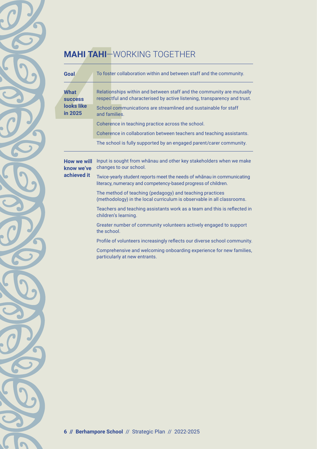## **MAHI TAHI**—WORKING TOGETHER

| Goal                                            | To foster collaboration within and between staff and the community.                                                                                                                                                                      |
|-------------------------------------------------|------------------------------------------------------------------------------------------------------------------------------------------------------------------------------------------------------------------------------------------|
| What<br><b>SUCCESS</b><br>looks like<br>in 2025 | Relationships within and between staff and the community are mutually<br>respectful and characterised by active listening, transparency and trust.                                                                                       |
|                                                 | School communications are streamlined and sustainable for staff<br>and families.                                                                                                                                                         |
|                                                 | Coherence in teaching practice across the school.                                                                                                                                                                                        |
|                                                 | Coherence in collaboration between teachers and teaching assistants.                                                                                                                                                                     |
|                                                 | The school is fully supported by an engaged parent/carer community.                                                                                                                                                                      |
| How we will<br>know we've<br>achieved it        | Input is sought from whanau and other key stakeholders when we make<br>changes to our school.<br>Twice-yearly student reports meet the needs of whanau in communicating<br>literacy, numeracy and competency-based progress of children. |
|                                                 | The method of teaching (pedagogy) and teaching practices<br>(methodology) in the local curriculum is observable in all classrooms.                                                                                                       |
|                                                 | Teachers and teaching assistants work as a team and this is reflected in<br>children's learning.                                                                                                                                         |
|                                                 | Greater number of community volunteers actively engaged to support<br>the school.                                                                                                                                                        |
|                                                 | Profile of volunteers increasingly reflects our diverse school community.                                                                                                                                                                |
|                                                 | Comprehensive and welcoming onboarding experience for new families,<br>particularly at new entrants.                                                                                                                                     |